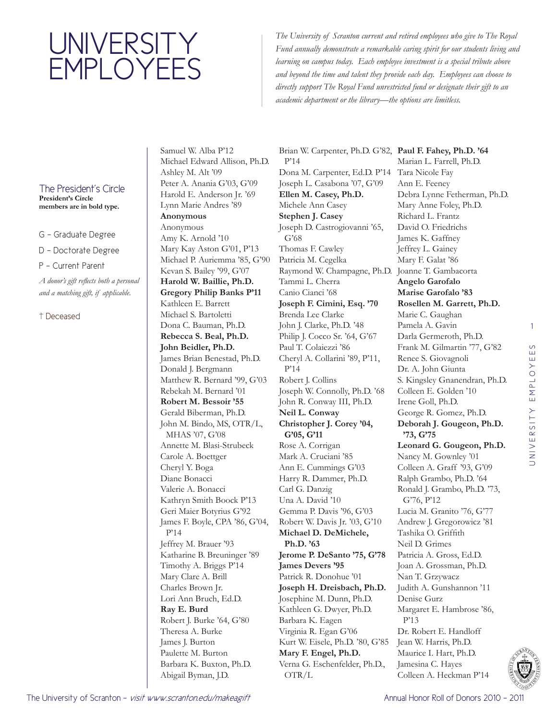## UNIVERSITY EMPLOYEES

*The University of Scranton current and retired employees who give to The Royal Fund annually demonstrate a remarkable caring spirit for our students living and learning on campus today. Each employee investment is a special tribute above and beyond the time and talent they provide each day. Employees can choose to directly support The Royal Fund unrestricted fund or designate their gift to an academic department or the library—the options are limitless.*

## The President's Circle **President's Circle**

**members are in bold type.**

G - Graduate Degree

D - Doctorate Degree

P - Current Parent

*A donor's gift reflects both a personal and a matching gift, if applicable.* 

## † Deceased

Samuel W. Alba P'12 Michael Edward Allison, Ph.D. Ashley M. Alt '09 Peter A. Anania G'03, G'09 Harold E. Anderson Jr. '69 Lynn Marie Andres '89 **Anonymous** Anonymous Amy K. Arnold '10 Mary Kay Aston G'01, P'13 Michael P. Auriemma '85, G'90 Kevan S. Bailey '99, G'07 **Harold W. Baillie, Ph.D. Gregory Philip Banks P'11** Kathleen E. Barrett Michael S. Bartoletti Dona C. Bauman, Ph.D. **Rebecca S. Beal, Ph.D. John Beidler, Ph.D.**  James Brian Benestad, Ph.D. Donald J. Bergmann Matthew R. Bernard '99, G'03 Rebekah M. Bernard '01 **Robert M. Bessoir '55** Gerald Biberman, Ph.D. John M. Bindo, MS, OTR/L, MHAS '07, G'08 Annette M. Blasi-Strubeck Carole A. Boettger Cheryl Y. Boga Diane Bonacci Valerie A. Bonacci Kathryn Smith Boock P'13 Geri Maier Botyrius G'92 James F. Boyle, CPA '86, G'04, P'14 Jeffrey M. Brauer '93 Katharine B. Breuninger '89 Timothy A. Briggs P'14 Mary Clare A. Brill Charles Brown Jr. Lori Ann Bruch, Ed.D. **Ray E. Burd**  Robert J. Burke '64, G'80 Theresa A. Burke James J. Burton Paulette M. Burton Barbara K. Buxton, Ph.D. Abigail Byman, J.D.

Brian W. Carpenter, Ph.D. G'82, **Paul F. Fahey, Ph.D. '64** P'14 Dona M. Carpenter, Ed.D. P'14 Joseph L. Casabona '07, G'09 **Ellen M. Casey, Ph.D.**  Michele Ann Casey **Stephen J. Casey**  Joseph D. Castrogiovanni '65, G'68 Thomas F. Cawley Patricia M. Cegelka Raymond W. Champagne, Ph.D. Joanne T. Gambacorta Tammi L. Cherra Canio Cianci '68 **Joseph F. Cimini, Esq. '70** Brenda Lee Clarke John J. Clarke, Ph.D. '48 Philip J. Cocco Sr. '64, G'67 Paul T. Colaiezzi '86 Cheryl A. Collarini '89, P'11, P'14 Robert J. Collins Joseph W. Connolly, Ph.D. '68 John R. Conway III, Ph.D. **Neil L. Conway Christopher J. Corey '04, G'05, G'11** Rose A. Corrigan Mark A. Cruciani '85 Ann E. Cummings G'03 Harry R. Dammer, Ph.D. Carl G. Danzig Una A. David '10 Gemma P. Davis '96, G'03 Robert W. Davis Jr. '03, G'10 **Michael D. DeMichele, Ph.D. '63 Jerome P. DeSanto '75, G'78 James Devers '95** Patrick R. Donohue '01 **Joseph H. Dreisbach, Ph.D.**  Josephine M. Dunn, Ph.D. Kathleen G. Dwyer, Ph.D. Barbara K. Eagen Virginia R. Egan G'06 Kurt W. Eisele, Ph.D. '80, G'85 **Mary F. Engel, Ph.D.**  Verna G. Eschenfelder, Ph.D., OTR/L

Marian L. Farrell, Ph.D. Tara Nicole Fay Ann E. Feeney Debra Lynne Fetherman, Ph.D. Mary Anne Foley, Ph.D. Richard L. Frantz David O. Friedrichs James K. Gaffney Jeffrey L. Gainey Mary F. Galat '86 **Angelo Garofalo Marise Garofalo '83 Rosellen M. Garrett, Ph.D.**  Marie C. Gaughan Pamela A. Gavin Darla Germeroth, Ph.D. Frank M. Gilmartin '77, G'82 Renee S. Giovagnoli Dr. A. John Giunta S. Kingsley Gnanendran, Ph.D. Colleen E. Golden '10 Irene Goll, Ph.D. George R. Gomez, Ph.D. **Deborah J. Gougeon, Ph.D. '73, G'75 Leonard G. Gougeon, Ph.D.**  Nancy M. Gownley '01 Colleen A. Graff '93, G'09 Ralph Grambo, Ph.D. '64 Ronald J. Grambo, Ph.D. '73, G'76, P'12 Lucia M. Granito '76, G'77 Andrew J. Gregorowicz '81 Tashika O. Griffith Neil D. Grimes Patricia A. Gross, Ed.D. Joan A. Grossman, Ph.D. Nan T. Grzywacz Judith A. Gunshannon '11 Denise Gurz Margaret E. Hambrose '86, P'13 Dr. Robert E. Handloff Jean W. Harris, Ph.D. Maurice I. Hart, Ph.D. Jamesina C. Hayes

1

 $\circ$ 



Colleen A. Heckman P'14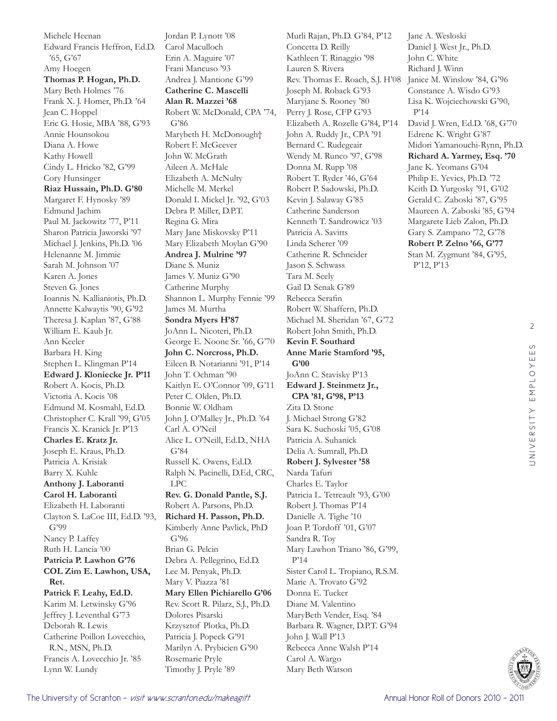Michele Heenan Edward Francis Heffron, Ed.D. '65, G'67 Amy Hoegen **Thomas P. Hogan, Ph.D.**  Mary Beth Holmes '76 Frank X. J. Homer, Ph.D. '64 Jean C. Hoppel Eric G. Hosie, MBA '88, G'93 Annie Hounsokou Diana A. Howe Kathy Howell Cindy L. Hricko '82, G'99 Cory Hunsinger **Riaz Hussain, Ph.D. G'80** Margaret F. Hynosky '89 Edmund Jachim Paul M. Jackowitz '77, P'11 Sharon Patricia Jaworski '97 Michael J. Jenkins, Ph.D. '06 Helenanne M. Jimmie Sarah M. Johnson '07 Karen A. Jones Steven G. Jones Ioannis N. Kallianiotis, Ph.D. Annette Kalwaytis '90, G'92 Theresa J. Kaplan '87, G'88 William E. Kaub Jr. Ann Keeler Barbara H. King Stephen L. Klingman P'14 **Edward J. Kloniecke Jr. P'11** Robert A. Kocis, Ph.D. Victoria A. Kocis '08 Edmund M. Kosmahl, Ed.D. Christopher C. Krall '99, G'05 Francis X. Kranick Jr. P'13 **Charles E. Kratz Jr.**  Joseph E. Kraus, Ph.D. Patricia A. Krisiak Barry X. Kuhle **Anthony J. Laboranti Carol H. Laboranti**  Elizabeth H. Laboranti Clayton S. LaCoe III, Ed.D. '93, G'99 Nancy P. Laffey Ruth H. Lancia '00 **Patricia P. Lawhon G'76 COL Zim E. Lawhon, USA, Ret. Patrick F. Leahy, Ed.D.**  Karim M. Letwinsky G'96 Jeffrey J. Leventhal G'73 Deborah R. Lewis Catherine Poillon Lovecchio, R.N., MSN, Ph.D. Francis A. Lovecchio Jr. '85

Jordan P. Lynott '08 Carol Maculloch Erin A. Maguire '07 Frani Mancuso '93 Andrea J. Mantione G'99 **Catherine C. Mascelli Alan R. Mazzei '68** Robert W. McDonald, CPA '74, G'86 Marybeth H. McDonough† Robert F. McGeever John W. McGrath Aileen A. McHale Elizabeth A. McNulty Michelle M. Merkel Donald I. Mickel Jr. '92, G'03 Debra P. Miller, D.P.T. Regina G. Mira Mary Jane Miskovsky P'11 Mary Elizabeth Moylan G'90 **Andrea J. Mulrine '97** Diane S. Muniz James V. Muniz G'90 Catherine Murphy Shannon L. Murphy Fennie '99 James M. Murtha **Sondra Myers H'87** JoAnn L. Nicoteri, Ph.D. George E. Noone Sr. '66, G'70 **John C. Norcross, Ph.D.**  Eileen B. Notarianni '91, P'14 John T. Ochman '90 Kaitlyn E. O'Connor '09, G'11 Peter C. Olden, Ph.D. Bonnie W. Oldham John J. O'Malley Jr., Ph.D. '64 Carl A. O'Neil Alice L. O'Neill, Ed.D., NHA G'84 Russell K. Owens, Ed.D. Ralph N. Pacinelli, D.Ed, CRC, LPC **Rev. G. Donald Pantle, S.J.**  Robert A. Parsons, Ph.D. **Richard H. Passon, Ph.D.**  Kimberly Anne Pavlick, PhD G'96 Brian G. Pelcin Debra A. Pellegrino, Ed.D. Lee M. Penyak, Ph.D. Mary V. Piazza '81 **Mary Ellen Pichiarello G'06** Rev. Scott R. Pilarz, S.J., Ph.D. Dolores Pisarski Krzysztof Plotka, Ph.D. Patricia J. Popeck G'91 Marilyn A. Prybicien G'90 Rosemarie Pryle Timothy J. Pryle '89

Murli Rajan, Ph.D. G'84, P'12 Concetta D. Reilly Kathleen T. Rinaggio '98 Lauren S. Rivera Rev. Thomas E. Roach, S.J. H'08 Joseph M. Roback G'93 Maryjane S. Rooney '80 Perry J. Rose, CFP G'93 Elizabeth A. Rozelle G'84, P'14 John A. Ruddy Jr., CPA '91 Bernard C. Rudegeair Wendy M. Runco '97, G'98 Donna M. Rupp '08 Robert T. Ryder '46, G'64 Robert P. Sadowski, Ph.D. Kevin J. Salaway G'85 Catherine Sanderson Kenneth T. Sandrowicz '03 Patricia A. Savitts Linda Scherer '09 Catherine R. Schneider Jason S. Schwass Tara M. Seely Gail D. Senak G'89 Rebecca Serafin Robert W. Shaffern, Ph.D. Michael M. Sheridan '67, G'72 Robert John Smith, Ph.D. **Kevin F. Southard Anne Marie Stamford '95, G'00** JoAnn C. Stavisky P'13 **Edward J. Steinmetz Jr., CPA '81, G'98, P'13** Zita D. Stone J. Michael Strong G'82 Sara K. Suchoski '05, G'08 Patricia A. Suhanick Delia A. Sumrall, Ph.D. **Robert J. Sylvester '58** Narda Tafuri Charles E. Taylor Patricia L. Tetreault '93, G'00 Robert J. Thomas P'14 Danielle A. Tighe '10 Joan P. Tordoff '01, G'07 Sandra R. Toy Mary Lawhon Triano '86, G'99, P'14 Sister Carol L. Tropiano, R.S.M. Marie A. Trovato G'92 Donna E. Tucker Diane M. Valentino MaryBeth Vender, Esq. '84 Barbara R. Wagner, D.P.T. G'94 John J. Wall P'13 Rebecca Anne Walsh P'14 Carol A. Wargo Mary Beth Watson

Jane A. Wesloski Daniel J. West Jr., Ph.D. John C. White Richard J. Winn Janice M. Winslow '84, G'96 Constance A. Wisdo G'93 Lisa K. Wojciechowski G'90, P'14 David J. Wren, Ed.D. '68, G'70 Edrene K. Wright G'87 Midori Yamanouchi-Rynn, Ph.D. **Richard A. Yarmey, Esq. '70** Jane K. Yeomans G'04 Philip E. Yevics, Ph.D. '72 Keith D. Yurgosky '91, G'02 Gerald C. Zaboski '87, G'95 Maureen A. Zaboski '85, G'94 Margarete Lieb Zalon, Ph.D. Gary S. Zampano '72, G'78 **Robert P. Zelno '66, G'77** Stan M. Zygmunt '84, G'95, P'12, P'13



Lynn W. Lundy